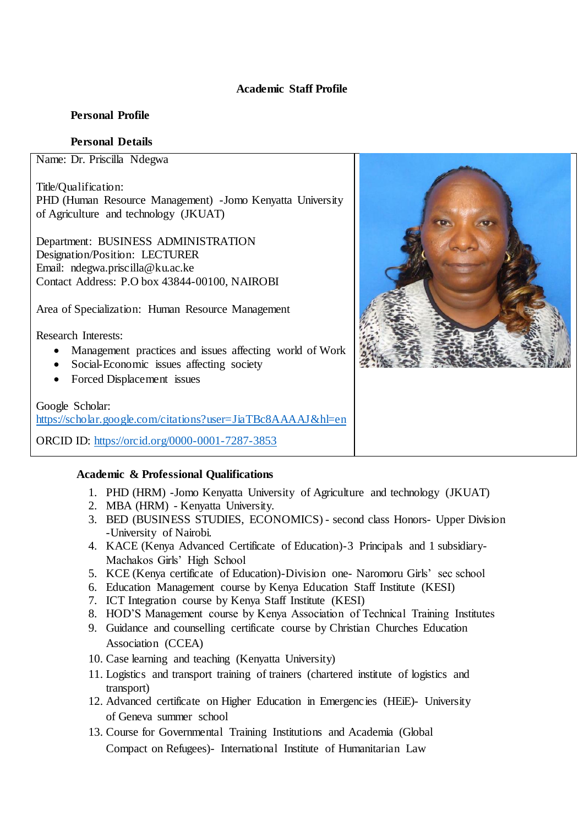#### **Academic Staff Profile**

# **Personal Profile**

# **Personal Details**

Name: Dr. Priscilla Ndegwa

Title/Qualification: PHD (Human Resource Management) -Jomo Kenyatta University of Agriculture and technology (JKUAT)

Department: BUSINESS ADMINISTRATION Designation/Position: LECTURER Email: ndegwa.priscilla@ku.ac.ke Contact Address: P.O box 43844-00100, NAIROBI

Area of Specialization: Human Resource Management

Research Interests:

- Management practices and issues affecting world of Work
- Social-Economic issues affecting society
- Forced Displacement issues

Google Scholar: <https://scholar.google.com/citations?user=JiaTBc8AAAAJ&hl=en>

ORCID ID: <https://orcid.org/0000-0001-7287-3853>



# **Academic & Professional Qualifications**

- 1. PHD (HRM) -Jomo Kenyatta University of Agriculture and technology (JKUAT)
- 2. MBA (HRM) Kenyatta University.
- 3. BED (BUSINESS STUDIES, ECONOMICS) second class Honors- Upper Division -University of Nairobi.
- 4. KACE (Kenya Advanced Certificate of Education)-3 Principals and 1 subsidiary-Machakos Girls' High School
- 5. KCE (Kenya certificate of Education)-Division one- Naromoru Girls' sec school
- 6. Education Management course by Kenya Education Staff Institute (KESI)
- 7. ICT Integration course by Kenya Staff Institute (KESI)
- 8. HOD'S Management course by Kenya Association of Technical Training Institutes
- 9. Guidance and counselling certificate course by Christian Churches Education Association (CCEA)
- 10. Case learning and teaching (Kenyatta University)
- 11. Logistics and transport training of trainers (chartered institute of logistics and transport)
- 12. Advanced certificate on Higher Education in Emergencies (HEiE)- University of Geneva summer school
- 13. Course for Governmental Training Institutions and Academia (Global Compact on Refugees)- International Institute of Humanitarian Law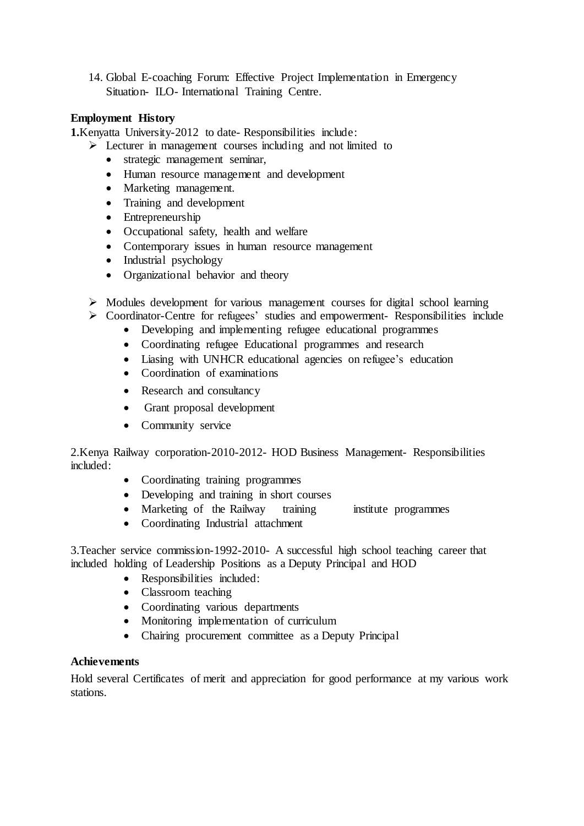14. Global E-coaching Forum: Effective Project Implementation in Emergency Situation- ILO- International Training Centre.

# **Employment History**

**1.**Kenyatta University-2012 to date- Responsibilities include:

- Lecturer in management courses including and not limited to
	- strategic management seminar,
	- Human resource management and development
	- Marketing management.
	- Training and development
	- Entrepreneurship
	- Occupational safety, health and welfare
	- Contemporary issues in human resource management
	- Industrial psychology
	- Organizational behavior and theory
- $\triangleright$  Modules development for various management courses for digital school learning
- Coordinator-Centre for refugees' studies and empowerment- Responsibilities include
	- Developing and implementing refugee educational programmes
	- Coordinating refugee Educational programmes and research
	- Liasing with UNHCR educational agencies on refugee's education
	- Coordination of examinations
	- Research and consultancy
	- Grant proposal development
	- Community service

2.Kenya Railway corporation-2010-2012- HOD Business Management- Responsibilities included:

- Coordinating training programmes
- Developing and training in short courses
- Marketing of the Railway training institute programmes
- Coordinating Industrial attachment

3.Teacher service commission-1992-2010- A successful high school teaching career that included holding of Leadership Positions as a Deputy Principal and HOD

- Responsibilities included:
- Classroom teaching
- Coordinating various departments
- Monitoring implementation of curriculum
- Chairing procurement committee as a Deputy Principal

### **Achievements**

Hold several Certificates of merit and appreciation for good performance at my various work stations.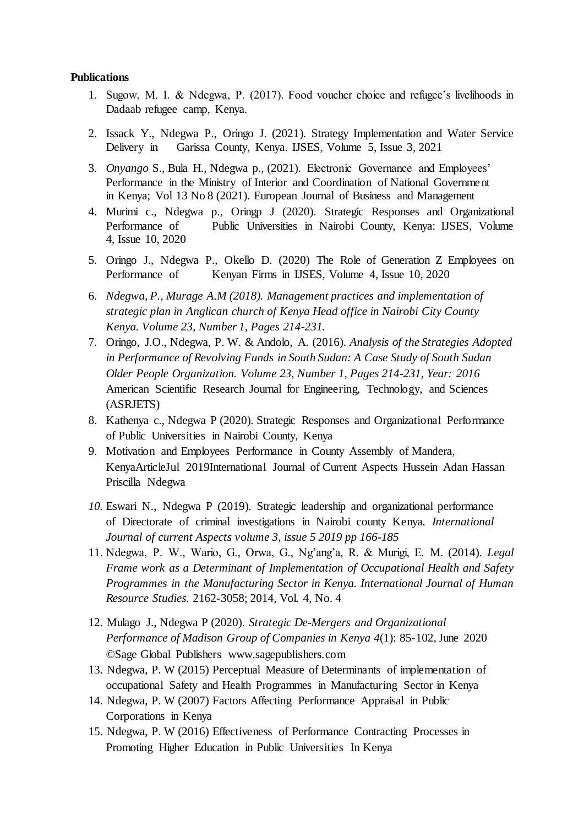#### **Publications**

- 1. Sugow, M. I. & Ndegwa, P. (2017). Food voucher choice and refugee's livelihoods in Dadaab refugee camp, Kenya.
- 2. Issack Y., Ndegwa P., Oringo J. (2021). Strategy Implementation and Water Service Delivery in Garissa County, Kenya. IJSES, Volume 5, Issue 3, 2021
- 3. *Onyango* S., Bula H., Ndegwa p., (2021). Electronic Governance and Employees' Performance in the Ministry of Interior and Coordination of National Government in Kenya; Vol 13 No 8 (2021). European Journal of Business and Management
- 4. Murimi c., Ndegwa p., Oringp J (2020). Strategic Responses and Organizational Performance of Public Universities in Nairobi County, Kenya: IJSES, Volume 4, Issue 10, 2020
- 5. Oringo J., Ndegwa P., Okello D. (2020) The Role of Generation Z Employees on Performance of Kenyan Firms in IJSES, Volume 4, Issue 10, 2020
- 6. *Ndegwa, P., Murage A.M (2018). Management practices and implementation of strategic plan in Anglican church of Kenya Head office in Nairobi City County Kenya. Volume 23, Number 1, Pages 214-231.*
- 7. Oringo, J.O., Ndegwa, P. W. & Andolo, A. (2016). *Analysis of the Strategies Adopted in Performance of Revolving Funds in South Sudan: A Case Study of South Sudan Older People Organization. Volume 23, Number 1, Pages 214-231, Year: 2016* American Scientific Research Journal for Engineering, Technology, and Sciences (ASRJETS)
- 8. Kathenya c., Ndegwa P (2020). Strategic Responses and Organizational Performance of Public Universities in Nairobi County, Kenya
- 9. Motivation and Employees Performance in County Assembly of Mandera, KenyaArticleJul 2019International Journal of Current Aspects [Hussein Adan](https://www.researchgate.net/scientific-contributions/Hussein-Adan-Hassan-2160138596) Hassan [Priscilla Ndegwa](https://www.researchgate.net/profile/Priscilla_Ndegwa)
- *10.* Eswari N., Ndegwa P (2019). Strategic leadership and organizational performance of Directorate of criminal investigations in Nairobi county Kenya. *International Journal of current Aspects volume 3, issue 5 2019 pp 166-185*
- 11. Ndegwa, P. W., Wario, G., Orwa, G., Ng'ang'a, R. & Murigi, E. M. (2014). *Legal Frame work as a Determinant of Implementation of Occupational Health and Safety Programmes in the Manufacturing Sector in Kenya. International Journal of Human Resource Studies*. 2162-3058; 2014, Vol. 4, No. 4
- 12. Mulago J., Ndegwa P (2020). *Strategic De-Mergers and Organizational Performance of Madison Group of Companies in Kenya 4*(1): 85-102, June 2020 ©Sage Global Publishers www.sagepublishers.com
- 13. Ndegwa, P. W (2015) Perceptual Measure of Determinants of implementation of occupational Safety and Health Programmes in Manufacturing Sector in Kenya
- 14. Ndegwa, P. W (2007) Factors Affecting Performance Appraisal in Public Corporations in Kenya
- 15. Ndegwa, P. W (2016) Effectiveness of Performance Contracting Processes in Promoting Higher Education in Public Universities In Kenya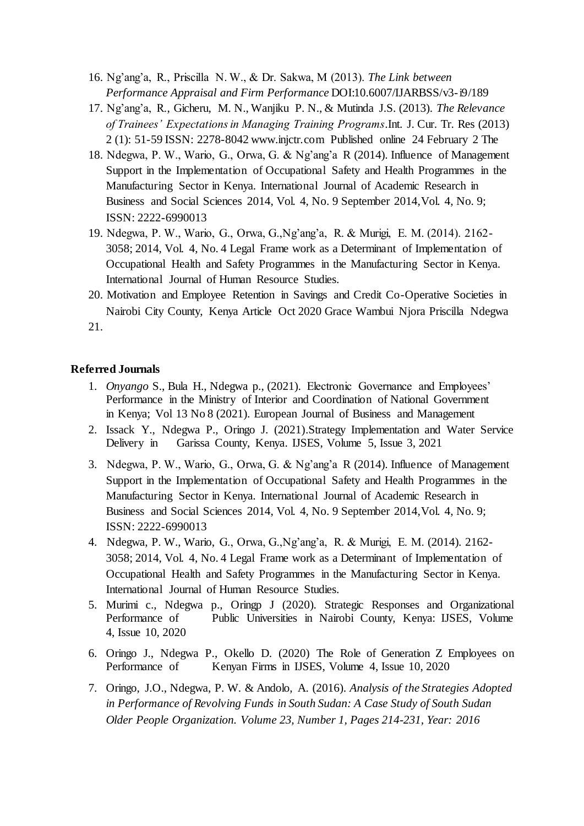- 16. Ng'ang'a, R., Priscilla N. W., & Dr. Sakwa, M (2013). *The Link between Performance Appraisal and Firm Performance* DOI:10.6007/IJARBSS/v3-i9/189
- 17. Ng'ang'a, R., Gicheru, M. N., Wanjiku P. N., & Mutinda J.S. (2013). *The Relevance of Trainees' Expectations in Managing Training Programs*.Int. J. Cur. Tr. Res (2013) 2 (1): 51-59 ISSN: 2278-804[2 www.injctr.com](http://www.injctr.com/) Published online 24 February 2 The
- 18. Ndegwa, P. W., Wario, G., Orwa, G. & Ng'ang'a R (2014). Influence of Management Support in the Implementation of Occupational Safety and Health Programmes in the Manufacturing Sector in Kenya. International Journal of Academic Research in Business and Social Sciences 2014, Vol. 4, No. 9 September 2014,Vol. 4, No. 9; ISSN: 2222-6990013
- 19. Ndegwa, P. W., Wario, G., Orwa, G.,Ng'ang'a, R. & Murigi, E. M. (2014). 2162- 3058; 2014, Vol. 4, No. 4 Legal Frame work as a Determinant of Implementation of Occupational Health and Safety Programmes in the Manufacturing Sector in Kenya. International Journal of Human Resource Studies.
- 20. Motivation and Employee Retention in Savings and Credit Co-Operative Societies in Nairobi City County, Kenya Article Oct 2020 [Grace Wambui Njora](https://www.researchgate.net/profile/Grace_Njora) [Priscilla Ndegwa](https://www.researchgate.net/profile/Priscilla_Ndegwa)
- 21.

### **Referred Journals**

- 1. *Onyango* S., Bula H., Ndegwa p., (2021). Electronic Governance and Employees' Performance in the Ministry of Interior and Coordination of National Government in Kenya; Vol 13 No 8 (2021). European Journal of Business and Management
- 2. Issack Y., Ndegwa P., Oringo J. (2021).Strategy Implementation and Water Service Delivery in Garissa County, Kenya. IJSES, Volume 5, Issue 3, 2021
- 3. Ndegwa, P. W., Wario, G., Orwa, G. & Ng'ang'a R (2014). Influence of Management Support in the Implementation of Occupational Safety and Health Programmes in the Manufacturing Sector in Kenya. International Journal of Academic Research in Business and Social Sciences 2014, Vol. 4, No. 9 September 2014,Vol. 4, No. 9; ISSN: 2222-6990013
- 4. Ndegwa, P. W., Wario, G., Orwa, G.,Ng'ang'a, R. & Murigi, E. M. (2014). 2162- 3058; 2014, Vol. 4, No. 4 Legal Frame work as a Determinant of Implementation of Occupational Health and Safety Programmes in the Manufacturing Sector in Kenya. International Journal of Human Resource Studies.
- 5. Murimi c., Ndegwa p., Oringp J (2020). Strategic Responses and Organizational Performance of Public Universities in Nairobi County, Kenya: IJSES, Volume 4, Issue 10, 2020
- 6. Oringo J., Ndegwa P., Okello D. (2020) The Role of Generation Z Employees on Performance of Kenyan Firms in IJSES, Volume 4, Issue 10, 2020
- 7. Oringo, J.O., Ndegwa, P. W. & Andolo, A. (2016). *Analysis of the Strategies Adopted in Performance of Revolving Funds in South Sudan: A Case Study of South Sudan Older People Organization. Volume 23, Number 1, Pages 214-231, Year: 2016*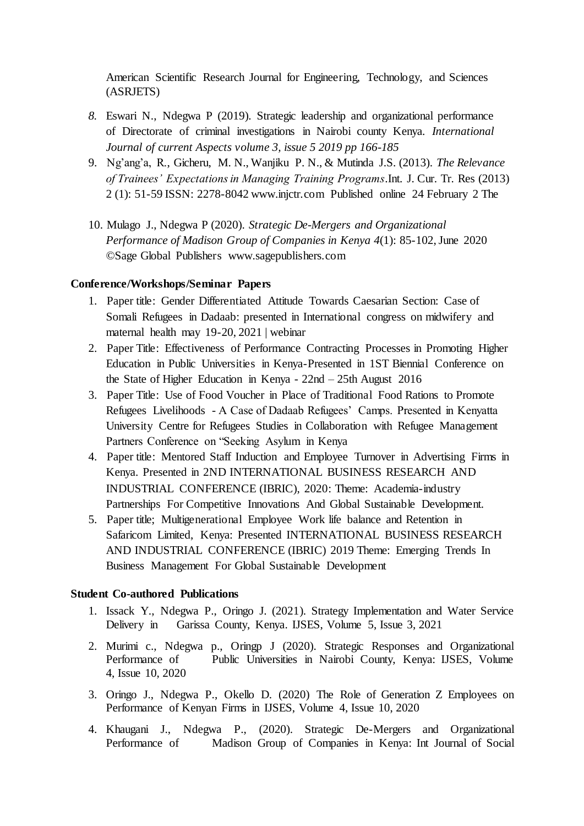American Scientific Research Journal for Engineering, Technology, and Sciences (ASRJETS)

- *8.* Eswari N., Ndegwa P (2019). Strategic leadership and organizational performance of Directorate of criminal investigations in Nairobi county Kenya. *International Journal of current Aspects volume 3, issue 5 2019 pp 166-185*
- 9. Ng'ang'a, R., Gicheru, M. N., Wanjiku P. N., & Mutinda J.S. (2013). *The Relevance of Trainees' Expectations in Managing Training Programs*.Int. J. Cur. Tr. Res (2013) 2 (1): 51-59 ISSN: 2278-804[2 www.injctr.com](http://www.injctr.com/) Published online 24 February 2 The
- 10. Mulago J., Ndegwa P (2020). *Strategic De-Mergers and Organizational Performance of Madison Group of Companies in Kenya 4*(1): 85-102, June 2020 ©Sage Global Publishers www.sagepublishers.com

### **Conference/Workshops/Seminar Papers**

- 1. Paper title: Gender Differentiated Attitude Towards Caesarian Section: Case of Somali Refugees in Dadaab: presented in International congress on midwifery and maternal health may 19-20, 2021 | webinar
- 2. Paper Title: Effectiveness of Performance Contracting Processes in Promoting Higher Education in Public Universities in Kenya-Presented in 1ST Biennial Conference on the State of Higher Education in Kenya - 22nd – 25th August 2016
- 3. Paper Title: Use of Food Voucher in Place of Traditional Food Rations to Promote Refugees Livelihoods - A Case of Dadaab Refugees' Camps. Presented in Kenyatta University Centre for Refugees Studies in Collaboration with Refugee Management Partners Conference on "Seeking Asylum in Kenya
- 4. Paper title: Mentored Staff Induction and Employee Turnover in Advertising Firms in Kenya. Presented in 2ND INTERNATIONAL BUSINESS RESEARCH AND INDUSTRIAL CONFERENCE (IBRIC), 2020: Theme: Academia-industry Partnerships For Competitive Innovations And Global Sustainable Development.
- 5. Paper title; Multigenerational Employee Work life balance and Retention in Safaricom Limited, Kenya: Presented INTERNATIONAL BUSINESS RESEARCH AND INDUSTRIAL CONFERENCE (IBRIC) 2019 Theme: Emerging Trends In Business Management For Global Sustainable Development

# **Student Co-authored Publications**

- 1. Issack Y., Ndegwa P., Oringo J. (2021). Strategy Implementation and Water Service Delivery in Garissa County, Kenya. IJSES, Volume 5, Issue 3, 2021
- 2. Murimi c., Ndegwa p., Oringp J (2020). Strategic Responses and Organizational Performance of Public Universities in Nairobi County, Kenya: IJSES, Volume 4, Issue 10, 2020
- 3. Oringo J., Ndegwa P., Okello D. (2020) The Role of Generation Z Employees on Performance of Kenyan Firms in IJSES, Volume 4, Issue 10, 2020
- 4. Khaugani J., Ndegwa P., (2020). Strategic De-Mergers and Organizational Performance of Madison Group of Companies in Kenya: Int Journal of Social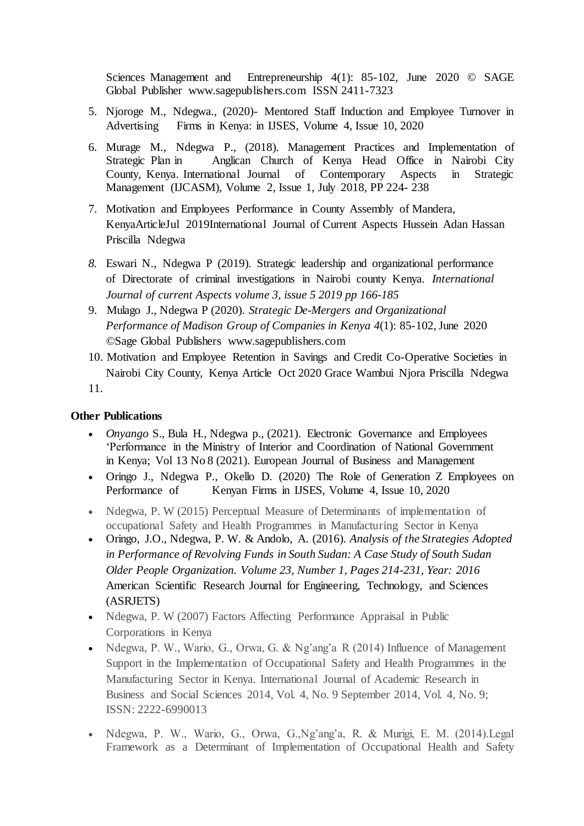Sciences Management and Entrepreneurship 4(1): 85-102, June 2020 © SAGE Global Publisher www.sagepublishers.com ISSN 2411-7323

- 5. Njoroge M., Ndegwa., (2020)- Mentored Staff Induction and Employee Turnover in Advertising Firms in Kenya: in IJSES, Volume 4, Issue 10, 2020
- 6. Murage M., Ndegwa P., (2018). Management Practices and Implementation of Strategic Plan in Anglican Church of Kenya Head Office in Nairobi City County, Kenya. International Journal of Contemporary Aspects in Strategic Management (IJCASM), Volume 2, Issue 1, July 2018, PP 224- 238
- 7. Motivation and Employees Performance in County Assembly of Mandera, KenyaArticleJul 2019International Journal of Current Aspects [Hussein Adan Hassan](https://www.researchgate.net/scientific-contributions/Hussein-Adan-Hassan-2160138596) [Priscilla Ndegwa](https://www.researchgate.net/profile/Priscilla_Ndegwa)
- *8.* Eswari N., Ndegwa P (2019). Strategic leadership and organizational performance of Directorate of criminal investigations in Nairobi county Kenya. *International Journal of current Aspects volume 3, issue 5 2019 pp 166-185*
- 9. Mulago J., Ndegwa P (2020). *Strategic De-Mergers and Organizational Performance of Madison Group of Companies in Kenya 4*(1): 85-102, June 2020 ©Sage Global Publishers www.sagepublishers.com
- 10. Motivation and Employee Retention in Savings and Credit Co-Operative Societies in Nairobi City County, Kenya Article Oct 2020 [Grace Wambui Njora](https://www.researchgate.net/profile/Grace_Njora) [Priscilla Ndegwa](https://www.researchgate.net/profile/Priscilla_Ndegwa)

11.

# **Other Publications**

- *Onyango* S., Bula H., Ndegwa p., (2021). Electronic Governance and Employees 'Performance in the Ministry of Interior and Coordination of National Government in Kenya; Vol 13 No 8 (2021). European Journal of Business and Management
- Oringo J., Ndegwa P., Okello D. (2020) The Role of Generation Z Employees on Performance of Kenyan Firms in IJSES, Volume 4, Issue 10, 2020
- Ndegwa, P. W (2015) Perceptual Measure of Determinants of implementation of occupational Safety and Health Programmes in Manufacturing Sector in Kenya
- Oringo, J.O., Ndegwa, P. W. & Andolo, A. (2016). *Analysis of the Strategies Adopted in Performance of Revolving Funds in South Sudan: A Case Study of South Sudan Older People Organization. Volume 23, Number 1, Pages 214-231, Year: 2016* American Scientific Research Journal for Engineering, Technology, and Sciences (ASRJETS)
- Ndegwa, P. W (2007) Factors Affecting Performance Appraisal in Public Corporations in Kenya
- Ndegwa, P. W., Wario, G., Orwa, G. & Ng'ang'a R (2014) Influence of Management Support in the Implementation of Occupational Safety and Health Programmes in the Manufacturing Sector in Kenya. International Journal of Academic Research in Business and Social Sciences 2014, Vol. 4, No. 9 September 2014, Vol. 4, No. 9; ISSN: 2222-6990013
- Ndegwa, P. W., Wario, G., Orwa, G.,Ng'ang'a, R. & Murigi, E. M. (2014).Legal Framework as a Determinant of Implementation of Occupational Health and Safety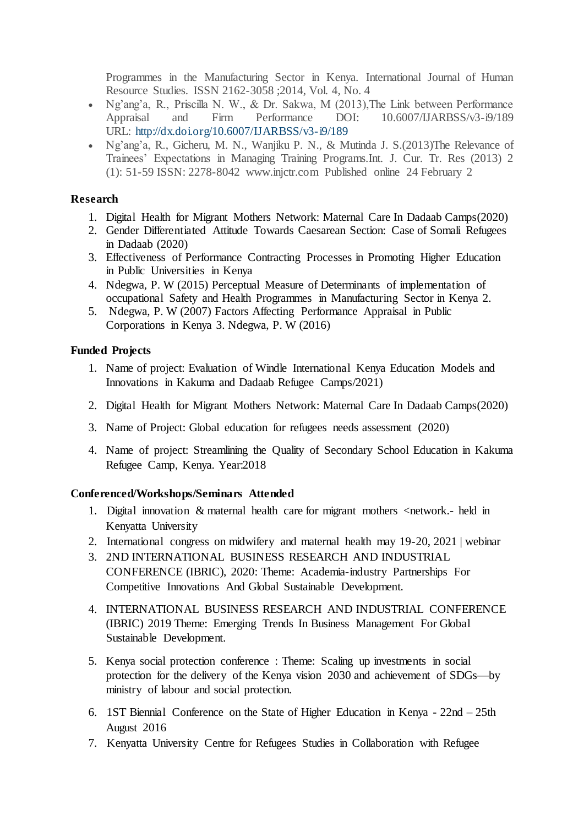Programmes in the Manufacturing Sector in Kenya. International Journal of Human Resource Studies. ISSN 2162-3058 ;2014, Vol. 4, No. 4

- Ng'ang'a, R., Priscilla N. W., & Dr. Sakwa, M (2013),The Link between Performance Appraisal and Firm Performance DOI:  $10.6007/JJARBSS/v3-i9/189$ URL: <http://dx.doi.org/10.6007/IJARBSS/v3-i9/189>
- Ng'ang'a, R., Gicheru, M. N., Wanjiku P. N., & Mutinda J. S.(2013)The Relevance of Trainees' Expectations in Managing Training Programs.Int. J. Cur. Tr. Res (2013) 2 (1): 51-59 ISSN: 2278-8042 www.injctr.com Published online 24 February 2

# **Research**

- 1. Digital Health for Migrant Mothers Network: Maternal Care In Dadaab Camps(2020)
- 2. Gender Differentiated Attitude Towards Caesarean Section: Case of Somali Refugees in Dadaab (2020)
- 3. Effectiveness of Performance Contracting Processes in Promoting Higher Education in Public Universities in Kenya
- 4. Ndegwa, P. W (2015) Perceptual Measure of Determinants of implementation of occupational Safety and Health Programmes in Manufacturing Sector in Kenya 2.
- 5. Ndegwa, P. W (2007) Factors Affecting Performance Appraisal in Public Corporations in Kenya 3. Ndegwa, P. W (2016)

# **Funded Projects**

- 1. Name of project: Evaluation of Windle International Kenya Education Models and Innovations in Kakuma and Dadaab Refugee Camps/2021)
- 2. Digital Health for Migrant Mothers Network: Maternal Care In Dadaab Camps(2020)
- 3. Name of Project: Global education for refugees needs assessment (2020)
- 4. Name of project: Streamlining the Quality of Secondary School Education in Kakuma Refugee Camp, Kenya. Year:2018

# **Conferenced/Workshops/Seminars Attended**

- 1. Digital innovation & maternal health care for migrant mothers <network.- held in Kenyatta University
- 2. International congress on midwifery and maternal health may 19-20, 2021 | webinar
- 3. 2ND INTERNATIONAL BUSINESS RESEARCH AND INDUSTRIAL CONFERENCE (IBRIC), 2020: Theme: Academia-industry Partnerships For Competitive Innovations And Global Sustainable Development.
- 4. INTERNATIONAL BUSINESS RESEARCH AND INDUSTRIAL CONFERENCE (IBRIC) 2019 Theme: Emerging Trends In Business Management For Global Sustainable Development.
- 5. Kenya social protection conference : Theme: Scaling up investments in social protection for the delivery of the Kenya vision 2030 and achievement of SDGs—by ministry of labour and social protection.
- 6. 1ST Biennial Conference on the State of Higher Education in Kenya 22nd 25th August 2016
- 7. Kenyatta University Centre for Refugees Studies in Collaboration with Refugee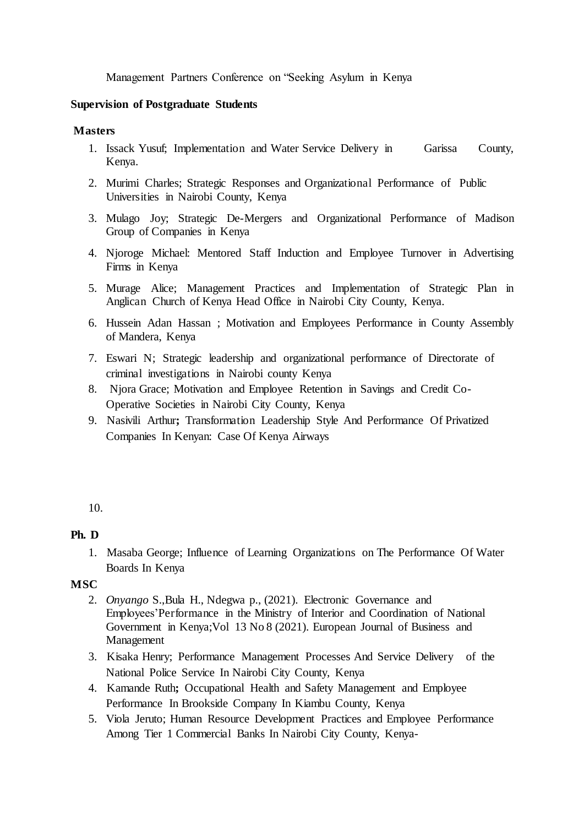Management Partners Conference on "Seeking Asylum in Kenya

#### **Supervision of Postgraduate Students**

#### **Masters**

- 1. Issack Yusuf; Implementation and Water Service Delivery in Garissa County, Kenya.
- 2. Murimi Charles; Strategic Responses and Organizational Performance of Public Universities in Nairobi County, Kenya
- 3. Mulago Joy; Strategic De-Mergers and Organizational Performance of Madison Group of Companies in Kenya
- 4. Njoroge Michael: Mentored Staff Induction and Employee Turnover in Advertising Firms in Kenya
- 5. Murage Alice; Management Practices and Implementation of Strategic Plan in Anglican Church of Kenya Head Office in Nairobi City County, Kenya.
- 6. [Hussein Adan Hassan](https://www.researchgate.net/scientific-contributions/Hussein-Adan-Hassan-2160138596) ; Motivation and Employees Performance in County Assembly of Mandera, Kenya
- 7. Eswari N; Strategic leadership and organizational performance of Directorate of criminal investigations in Nairobi county Kenya
- 8. [Njora](https://www.researchgate.net/profile/Grace_Njora) Grace; Motivation and Employee Retention in Savings and Credit Co-Operative Societies in Nairobi City County, Kenya
- 9. Nasivili Arthur**;** Transformation Leadership Style And Performance Of Privatized Companies In Kenyan: Case Of Kenya Airways

### **Ph. D**

1. Masaba George; Influence of Learning Organizations on The Performance Of Water Boards In Kenya

### **MSC**

- 2. *Onyango* S.,Bula H., Ndegwa p., (2021). Electronic Governance and Employees'Performance in the Ministry of Interior and Coordination of National Government in Kenya;Vol 13 No 8 (2021). European Journal of Business and Management
- 3. Kisaka Henry; Performance Management Processes And Service Delivery of the National Police Service In Nairobi City County, Kenya
- 4. Kamande Ruth**;** Occupational Health and Safety Management and Employee Performance In Brookside Company In Kiambu County, Kenya
- 5. Viola Jeruto; Human Resource Development Practices and Employee Performance Among Tier 1 Commercial Banks In Nairobi City County, Kenya-

<sup>10.</sup>